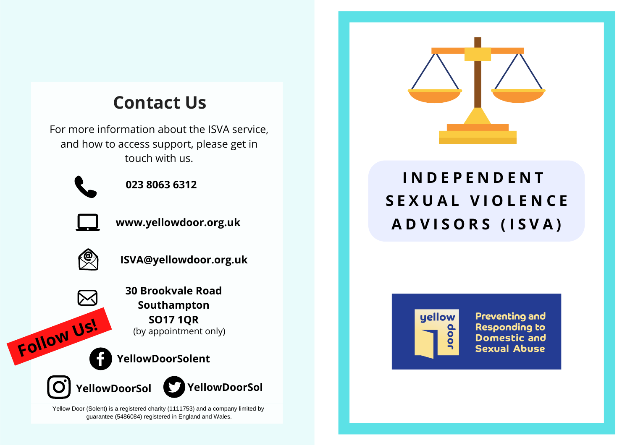## **Contact Us**

For more information about the ISVA service, and how to access support, please get in touch with us.



**023 8063 6312**



**www.yellowdoor.org.uk**



**ISVA@yellowdoor.org.uk**

**30 Brookvale Road Southampton SO17 1QR** (by appointment only)

**YellowDoorSolent Follow Us!**





Yellow Door (Solent) is a registered charity (1111753) and a company limited by guarantee (5486084) registered in England and Wales.



# **I N D E P E N D E N T S E X U A L V I O L E N C E A D V I S O R S ( I S V A )**



**Preventing and Responding to Domestic and Sexual Abuse**